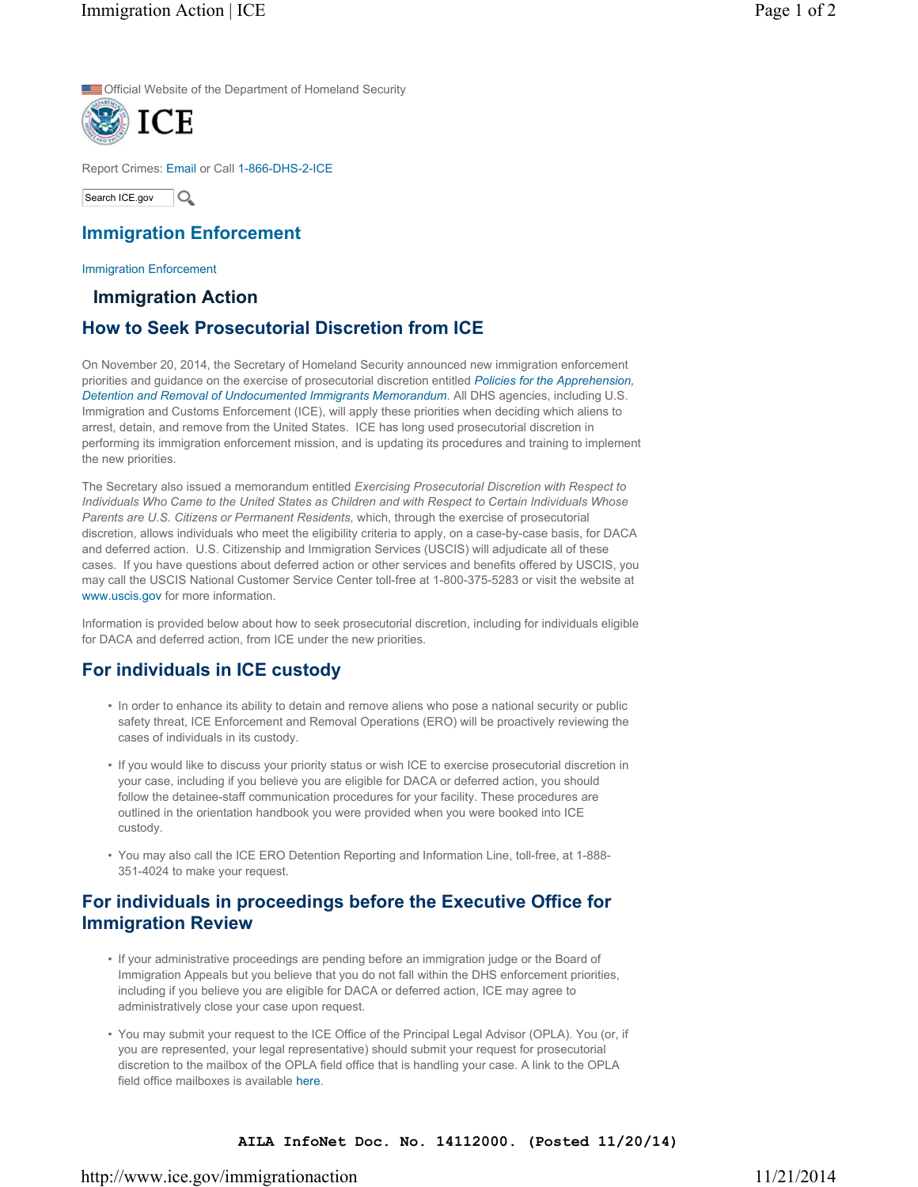Official Website of the Department of Homeland Security



Report Crimes: Email or Call 1-866-DHS-2-ICE

Search ICE.gov  $\overline{O}$ 

### **Immigration Enforcement**

Immigration Enforcement

#### **Immigration Action**

## **How to Seek Prosecutorial Discretion from ICE**

On November 20, 2014, the Secretary of Homeland Security announced new immigration enforcement [priorities and guidance on the exercise of prosecutorial discretion entitled](http://www.dhs.gov/sites/default/files/publications/14_1120_memo_prosecutorial_discretion.pdf) *Policies for the Apprehension, Detention and Removal of Undocumented Immigrants Memorandum*. All DHS agencies, including U.S. Immigration and Customs Enforcement (ICE), will apply these priorities when deciding which aliens to arrest, detain, and remove from the United States. ICE has long used prosecutorial discretion in performing its immigration enforcement mission, and is updating its procedures and training to implement the new priorities.

The Secretary also issued a memorandum entitled *Exercising Prosecutorial Discretion with Respect to Individuals Who Came to the United States as Children and with Respect to Certain Individuals Whose Parents are U.S. Citizens or Permanent Residents,* which, through the exercise of prosecutorial discretion, allows individuals who meet the eligibility criteria to apply, on a case-by-case basis, for DACA and deferred action. U.S. Citizenship and Immigration Services (USCIS) will adjudicate all of these cases. If you have questions about deferred action or other services and benefits offered by USCIS, you may call the USCIS National Customer Service Center toll-free at 1-800-375-5283 or visit the website at www.uscis.gov for more information.

Information is provided below about how to seek prosecutorial discretion, including for individuals eligible for DACA and deferred action, from ICE under the new priorities.

# **For individuals in ICE custody**

- In order to enhance its ability to detain and remove aliens who pose a national security or public safety threat, ICE Enforcement and Removal Operations (ERO) will be proactively reviewing the cases of individuals in its custody.
- If you would like to discuss your priority status or wish ICE to exercise prosecutorial discretion in your case, including if you believe you are eligible for DACA or deferred action, you should follow the detainee-staff communication procedures for your facility. These procedures are outlined in the orientation handbook you were provided when you were booked into ICE custody.
- You may also call the ICE ERO Detention Reporting and Information Line, toll-free, at 1-888- 351-4024 to make your request.

## **For individuals in proceedings before the Executive Office for Immigration Review**

- If your administrative proceedings are pending before an immigration judge or the Board of Immigration Appeals but you believe that you do not fall within the DHS enforcement priorities, including if you believe you are eligible for DACA or deferred action, ICE may agree to administratively close your case upon request.
- You may submit your request to the ICE Office of the Principal Legal Advisor (OPLA). You (or, if you are represented, your legal representative) should submit your request for prosecutorial discretion to the mailbox of the OPLA field office that is handling your case. A link to the OPLA field office mailboxes is available here.

#### **AILA InfoNet Doc. No. 14112000. (Posted 11/20/14)**